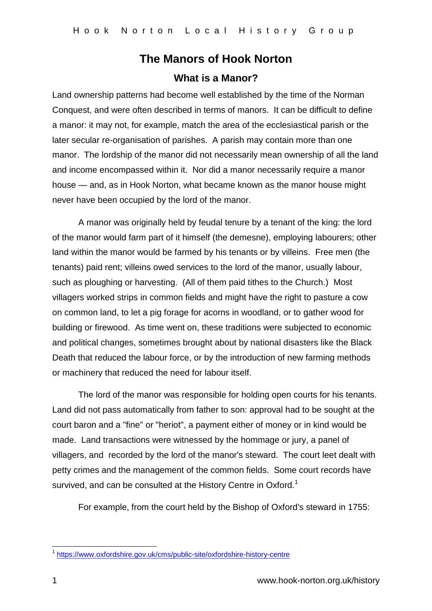## **The Manors of Hook Norton What is a Manor?**

Land ownership patterns had become well established by the time of the Norman Conquest, and were often described in terms of manors. It can be difficult to define a manor: it may not, for example, match the area of the ecclesiastical parish or the later secular re-organisation of parishes. A parish may contain more than one manor. The lordship of the manor did not necessarily mean ownership of all the land and income encompassed within it. Nor did a manor necessarily require a manor house — and, as in Hook Norton, what became known as the manor house might never have been occupied by the lord of the manor.

A manor was originally held by feudal tenure by a tenant of the king: the lord of the manor would farm part of it himself (the demesne), employing labourers; other land within the manor would be farmed by his tenants or by villeins. Free men (the tenants) paid rent; villeins owed services to the lord of the manor, usually labour, such as ploughing or harvesting. (All of them paid tithes to the Church.) Most villagers worked strips in common fields and might have the right to pasture a cow on common land, to let a pig forage for acorns in woodland, or to gather wood for building or firewood. As time went on, these traditions were subjected to economic and political changes, sometimes brought about by national disasters like the Black Death that reduced the labour force, or by the introduction of new farming methods or machinery that reduced the need for labour itself.

The lord of the manor was responsible for holding open courts for his tenants. Land did not pass automatically from father to son: approval had to be sought at the court baron and a "fine" or "heriot", a payment either of money or in kind would be made. Land transactions were witnessed by the hommage or jury, a panel of villagers, and recorded by the lord of the manor's steward. The court leet dealt with petty crimes and the management of the common fields. Some court records have survived, and can be consulted at the History Centre in Oxford.<sup>1</sup>

For example, from the court held by the Bishop of Oxford's steward in 1755:

 1 <https://www.oxfordshire.gov.uk/cms/public-site/oxfordshire-history-centre>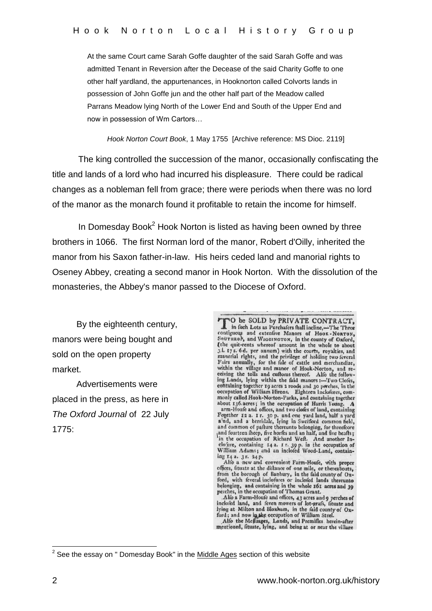At the same Court came Sarah Goffe daughter of the said Sarah Goffe and was admitted Tenant in Reversion after the Decease of the said Charity Goffe to one other half yardland, the appurtenances, in Hooknorton called Colvorts lands in possession of John Goffe jun and the other half part of the Meadow called Parrans Meadow lying North of the Lower End and South of the Upper End and now in possession of Wm Cartors…

*Hook Norton Court Book*, 1 May 1755 [Archive reference: MS Dioc. 2119]

The king controlled the succession of the manor, occasionally confiscating the title and lands of a lord who had incurred his displeasure. There could be radical changes as a nobleman fell from grace; there were periods when there was no lord of the manor as the monarch found it profitable to retain the income for himself.

In Domesday Book<sup>2</sup> Hook Norton is listed as having been owned by three brothers in 1066. The first Norman lord of the manor, Robert d'Oilly, inherited the manor from his Saxon father-in-law. His heirs ceded land and manorial rights to Oseney Abbey, creating a second manor in Hook Norton. With the dissolution of the monasteries, the Abbey's manor passed to the Diocese of Oxford.

 By the eighteenth century, manors were being bought and sold on the open property market.

 Advertisements were placed in the press, as here in *The Oxford Journal* of 22 July 1775:

TO be SOLD by PRIVATE CONTRACT, in fuch Lots as Purchafers fhall incline,—The Three **A.** in fuch Lots as Purchafers fhall incline,—The Three<br>contiguous and extenfive Manors of Hook -Nonrox,<br>Sourcince, and Wiccoinscrow, in the county of Oxford,<br>(the quit-rents whereof amount in the whole to about<br>3.1. 17 ceiving the tolls and cuftoms thereof. Alfo the following Lands, lying within the faid manors :--Two Cloies,<br>containing together 19 acres 2 roods and 30 perches, in the<br>occupation of William Hirons. Eighteen Inclodures, com-<br>monly called Hook-Norton-Parks, and containing toge about 136 aeres; in the occupation of Harris Young. A<br>arm-Houfe and offices, and two clofes of land, containing arm-Houfe and offices, and two clofes of land, containing<br>
Fogether 12 a. 1 r. 30 p. and one yard land, half a yard<br>
and, and a berridale, lying in Sweford common field,<br>
and common of pafture thereunto belonging, for thr ing 14 a. 31. 24 p.<br>Alfo a new and convenient Farm-Houfe, with proper

Alto a new and convenient Farm-Houle, with proper<br>offees, finate at the diffance of one mile, or thereabouts,<br>from the borough of Banbury, in the faid county of Ox-<br>frond, with feveral inclofenes or inclofed lands thereunt

lying at Milton and Bloxhum, in the faid county of Oxford; and now in the occupation of William Steel.<br>Alfo the Mefluages, Lands, and Premifles herein-after

mentioned, fituate, lying, and being at or near the village

 2 See the essay on " Domesday Book" in the Middle Ages section of this website